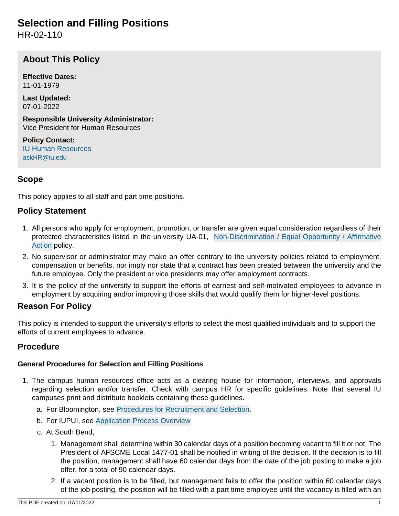# **Selection and Filling Positions**

HR-02-110

## **About This Policy**

**Effective Dates:** 11-01-1979

**Last Updated:** 07-01-2022

**Responsible University Administrator:** Vice President for Human Resources

**Policy Contact:** [IU Human Resources](http://hr.iu.edu/welcome/contact.htm) [askHR@iu.edu](mailto:askHR@iu.edu)

## **Scope**

This policy applies to all staff and part time positions.

### **Policy Statement**

- 1. All persons who apply for employment, promotion, or transfer are given equal consideration regardless of their protected characteristics listed in the university UA-01, [Non-Discrimination / Equal Opportunity / Affirmative](https://policies.iu.edu/policies/ua-01-equal-opportunity-affirmative-action/index.html) [Action](https://policies.iu.edu/policies/ua-01-equal-opportunity-affirmative-action/index.html) policy.
- 2. No supervisor or administrator may make an offer contrary to the university policies related to employment, compensation or benefits, nor imply nor state that a contract has been created between the university and the future employee. Only the president or vice presidents may offer employment contracts.
- 3. It is the policy of the university to support the efforts of earnest and self-motivated employees to advance in employment by acquiring and/or improving those skills that would qualify them for higher-level positions.

### **Reason For Policy**

This policy is intended to support the university's efforts to select the most qualified individuals and to support the efforts of current employees to advance.

### **Procedure**

### **General Procedures for Selection and Filling Positions**

- 1. The campus human resources office acts as a clearing house for information, interviews, and approvals regarding selection and/or transfer. Check with campus HR for specific guidelines. Note that several IU campuses print and distribute booklets containing these guidelines.
	- a. For Bloomington, see [Procedures for Recruitment and Selection.](http://hr.iu.edu/employment/bloomington/procedures_index.html)
	- b. For IUPUI, see [Application Process Overview](https://hra.iupui.edu/employment/process-overview.html)
	- c. At South Bend,
		- 1. Management shall determine within 30 calendar days of a position becoming vacant to fill it or not. The President of AFSCME Local 1477-01 shall be notified in writing of the decision. If the decision is to fill the position, management shall have 60 calendar days from the date of the job posting to make a job offer, for a total of 90 calendar days.
		- 2. If a vacant position is to be filled, but management fails to offer the position within 60 calendar days of the job posting, the position will be filled with a part time employee until the vacancy is filled with an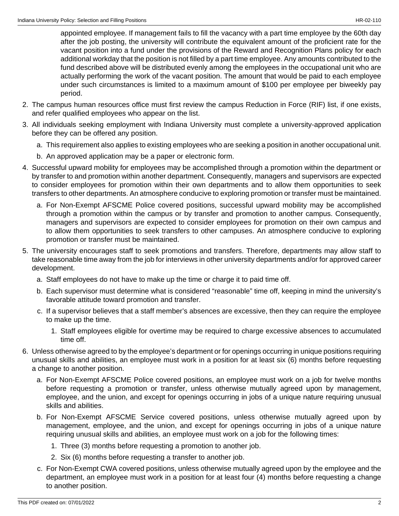appointed employee. If management fails to fill the vacancy with a part time employee by the 60th day after the job posting, the university will contribute the equivalent amount of the proficient rate for the vacant position into a fund under the provisions of the Reward and Recognition Plans policy for each additional workday that the position is not filled by a part time employee. Any amounts contributed to the fund described above will be distributed evenly among the employees in the occupational unit who are actually performing the work of the vacant position. The amount that would be paid to each employee under such circumstances is limited to a maximum amount of \$100 per employee per biweekly pay period.

- 2. The campus human resources office must first review the campus Reduction in Force (RIF) list, if one exists, and refer qualified employees who appear on the list.
- 3. All individuals seeking employment with Indiana University must complete a university-approved application before they can be offered any position.
	- a. This requirement also applies to existing employees who are seeking a position in another occupational unit.
	- b. An approved application may be a paper or electronic form.
- 4. Successful upward mobility for employees may be accomplished through a promotion within the department or by transfer to and promotion within another department. Consequently, managers and supervisors are expected to consider employees for promotion within their own departments and to allow them opportunities to seek transfers to other departments. An atmosphere conducive to exploring promotion or transfer must be maintained.
	- a. For Non-Exempt AFSCME Police covered positions, successful upward mobility may be accomplished through a promotion within the campus or by transfer and promotion to another campus. Consequently, managers and supervisors are expected to consider employees for promotion on their own campus and to allow them opportunities to seek transfers to other campuses. An atmosphere conducive to exploring promotion or transfer must be maintained.
- 5. The university encourages staff to seek promotions and transfers. Therefore, departments may allow staff to take reasonable time away from the job for interviews in other university departments and/or for approved career development.
	- a. Staff employees do not have to make up the time or charge it to paid time off.
	- b. Each supervisor must determine what is considered "reasonable" time off, keeping in mind the university's favorable attitude toward promotion and transfer.
	- c. If a supervisor believes that a staff member's absences are excessive, then they can require the employee to make up the time.
		- 1. Staff employees eligible for overtime may be required to charge excessive absences to accumulated time off.
- 6. Unless otherwise agreed to by the employee's department or for openings occurring in unique positions requiring unusual skills and abilities, an employee must work in a position for at least six (6) months before requesting a change to another position.
	- a. For Non-Exempt AFSCME Police covered positions, an employee must work on a job for twelve months before requesting a promotion or transfer, unless otherwise mutually agreed upon by management, employee, and the union, and except for openings occurring in jobs of a unique nature requiring unusual skills and abilities.
	- b. For Non-Exempt AFSCME Service covered positions, unless otherwise mutually agreed upon by management, employee, and the union, and except for openings occurring in jobs of a unique nature requiring unusual skills and abilities, an employee must work on a job for the following times:
		- 1. Three (3) months before requesting a promotion to another job.
		- 2. Six (6) months before requesting a transfer to another job.
	- c. For Non-Exempt CWA covered positions, unless otherwise mutually agreed upon by the employee and the department, an employee must work in a position for at least four (4) months before requesting a change to another position.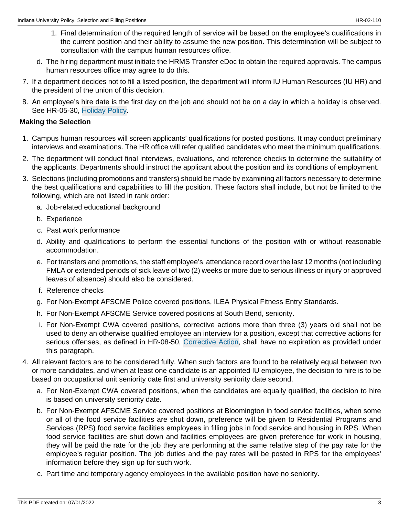- 1. Final determination of the required length of service will be based on the employee's qualifications in the current position and their ability to assume the new position. This determination will be subject to consultation with the campus human resources office.
- d. The hiring department must initiate the HRMS Transfer eDoc to obtain the required approvals. The campus human resources office may agree to do this.
- 7. If a department decides not to fill a listed position, the department will inform IU Human Resources (IU HR) and the president of the union of this decision.
- 8. An employee's hire date is the first day on the job and should not be on a day in which a holiday is observed. See HR-05-30, [Holiday Policy](https://policies.iu.edu/policies/hr-05-30-holidays/archived-06152018.html).

#### **Making the Selection**

- 1. Campus human resources will screen applicants' qualifications for posted positions. It may conduct preliminary interviews and examinations. The HR office will refer qualified candidates who meet the minimum qualifications.
- 2. The department will conduct final interviews, evaluations, and reference checks to determine the suitability of the applicants. Departments should instruct the applicant about the position and its conditions of employment.
- 3. Selections (including promotions and transfers) should be made by examining all factors necessary to determine the best qualifications and capabilities to fill the position. These factors shall include, but not be limited to the following, which are not listed in rank order:
	- a. Job-related educational background
	- b. Experience
	- c. Past work performance
	- d. Ability and qualifications to perform the essential functions of the position with or without reasonable accommodation.
	- e. For transfers and promotions, the staff employee's attendance record over the last 12 months (not including FMLA or extended periods of sick leave of two (2) weeks or more due to serious illness or injury or approved leaves of absence) should also be considered.
	- f. Reference checks
	- g. For Non-Exempt AFSCME Police covered positions, ILEA Physical Fitness Entry Standards.
	- h. For Non-Exempt AFSCME Service covered positions at South Bend, seniority.
	- i. For Non-Exempt CWA covered positions, corrective actions more than three (3) years old shall not be used to deny an otherwise qualified employee an interview for a position, except that corrective actions for serious offenses, as defined in HR-08-50, [Corrective Action](https://policies.iu.edu/policies/hr-08-50-corrective-action-support-staff/index.html), shall have no expiration as provided under this paragraph.
- 4. All relevant factors are to be considered fully. When such factors are found to be relatively equal between two or more candidates, and when at least one candidate is an appointed IU employee, the decision to hire is to be based on occupational unit seniority date first and university seniority date second.
	- a. For Non-Exempt CWA covered positions, when the candidates are equally qualified, the decision to hire is based on university seniority date.
	- b. For Non-Exempt AFSCME Service covered positions at Bloomington in food service facilities, when some or all of the food service facilities are shut down, preference will be given to Residential Programs and Services (RPS) food service facilities employees in filling jobs in food service and housing in RPS. When food service facilities are shut down and facilities employees are given preference for work in housing, they will be paid the rate for the job they are performing at the same relative step of the pay rate for the employee's regular position. The job duties and the pay rates will be posted in RPS for the employees' information before they sign up for such work.
	- c. Part time and temporary agency employees in the available position have no seniority.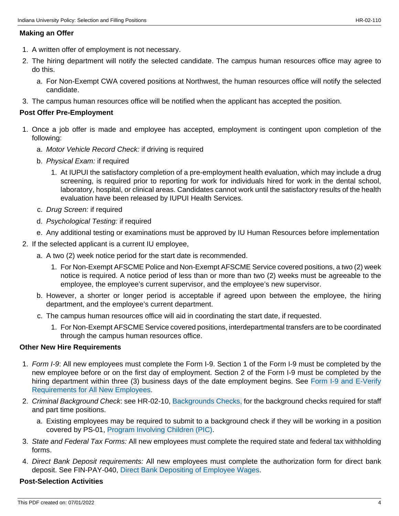#### **Making an Offer**

- 1. A written offer of employment is not necessary.
- 2. The hiring department will notify the selected candidate. The campus human resources office may agree to do this.
	- a. For Non-Exempt CWA covered positions at Northwest, the human resources office will notify the selected candidate.
- 3. The campus human resources office will be notified when the applicant has accepted the position.

#### **Post Offer Pre-Employment**

- 1. Once a job offer is made and employee has accepted, employment is contingent upon completion of the following:
	- a. Motor Vehicle Record Check: if driving is required
	- b. Physical Exam: if required
		- 1. At IUPUI the satisfactory completion of a pre-employment health evaluation, which may include a drug screening, is required prior to reporting for work for individuals hired for work in the dental school, laboratory, hospital, or clinical areas. Candidates cannot work until the satisfactory results of the health evaluation have been released by IUPUI Health Services.
	- c. Drug Screen: if required
	- d. Psychological Testing: if required
	- e. Any additional testing or examinations must be approved by IU Human Resources before implementation
- 2. If the selected applicant is a current IU employee,
	- a. A two (2) week notice period for the start date is recommended.
		- 1. For Non-Exempt AFSCME Police and Non-Exempt AFSCME Service covered positions, a two (2) week notice is required. A notice period of less than or more than two (2) weeks must be agreeable to the employee, the employee's current supervisor, and the employee's new supervisor.
	- b. However, a shorter or longer period is acceptable if agreed upon between the employee, the hiring department, and the employee's current department.
	- c. The campus human resources office will aid in coordinating the start date, if requested.
		- 1. For Non-Exempt AFSCME Service covered positions, interdepartmental transfers are to be coordinated through the campus human resources office.

#### **Other New Hire Requirements**

- 1. Form I-9: All new employees must complete the Form I-9. Section 1 of the Form I-9 must be completed by the new employee before or on the first day of employment. Section 2 of the Form I-9 must be completed by the hiring department within three (3) business days of the date employment begins. See [Form I-9 and E-Verify](http://hr.iu.edu/eev/) [Requirements for All New Employees](http://hr.iu.edu/eev/).
- 2. Criminal Background Check: see HR-02-10, [Backgrounds Checks,](https://policies.iu.edu/policies/hr-02-10-background-checks/index.html) for the background checks required for staff and part time positions.
	- a. Existing employees may be required to submit to a background check if they will be working in a position covered by PS-01, [Program Involving Children \(PIC\).](https://policies.iu.edu/policies/ps-01-programs-involving-children/archived-08142015-08042017.html)
- 3. State and Federal Tax Forms: All new employees must complete the required state and federal tax withholding forms.
- 4. Direct Bank Deposit requirements: All new employees must complete the authorization form for direct bank deposit. See FIN-PAY-040, [Direct Bank Depositing of Employee Wages](https://policies.iu.edu/policies/fin-pay-040-payment-methods-pay-advices/archived-fin-pay-20-08082017.html).

#### **Post-Selection Activities**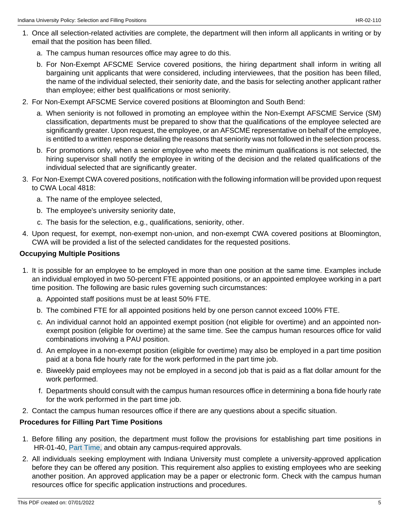- 1. Once all selection-related activities are complete, the department will then inform all applicants in writing or by email that the position has been filled.
	- a. The campus human resources office may agree to do this.
	- b. For Non-Exempt AFSCME Service covered positions, the hiring department shall inform in writing all bargaining unit applicants that were considered, including interviewees, that the position has been filled, the name of the individual selected, their seniority date, and the basis for selecting another applicant rather than employee; either best qualifications or most seniority.
- 2. For Non-Exempt AFSCME Service covered positions at Bloomington and South Bend:
	- a. When seniority is not followed in promoting an employee within the Non-Exempt AFSCME Service (SM) classification, departments must be prepared to show that the qualifications of the employee selected are significantly greater. Upon request, the employee, or an AFSCME representative on behalf of the employee, is entitled to a written response detailing the reasons that seniority was not followed in the selection process.
	- b. For promotions only, when a senior employee who meets the minimum qualifications is not selected, the hiring supervisor shall notify the employee in writing of the decision and the related qualifications of the individual selected that are significantly greater.
- 3. For Non-Exempt CWA covered positions, notification with the following information will be provided upon request to CWA Local 4818:
	- a. The name of the employee selected,
	- b. The employee's university seniority date,
	- c. The basis for the selection, e.g., qualifications, seniority, other.
- 4. Upon request, for exempt, non-exempt non-union, and non-exempt CWA covered positions at Bloomington, CWA will be provided a list of the selected candidates for the requested positions.

#### **Occupying Multiple Positions**

- 1. It is possible for an employee to be employed in more than one position at the same time. Examples include an individual employed in two 50-percent FTE appointed positions, or an appointed employee working in a part time position. The following are basic rules governing such circumstances:
	- a. Appointed staff positions must be at least 50% FTE.
	- b. The combined FTE for all appointed positions held by one person cannot exceed 100% FTE.
	- c. An individual cannot hold an appointed exempt position (not eligible for overtime) and an appointed nonexempt position (eligible for overtime) at the same time. See the campus human resources office for valid combinations involving a PAU position.
	- d. An employee in a non-exempt position (eligible for overtime) may also be employed in a part time position paid at a bona fide hourly rate for the work performed in the part time job.
	- e. Biweekly paid employees may not be employed in a second job that is paid as a flat dollar amount for the work performed.
	- f. Departments should consult with the campus human resources office in determining a bona fide hourly rate for the work performed in the part time job.
- 2. Contact the campus human resources office if there are any questions about a specific situation.

### **Procedures for Filling Part Time Positions**

- 1. Before filling any position, the department must follow the provisions for establishing part time positions in HR-01-40, [Part Time,](https://policies.iu.edu/policies/hr-01-40-temporary-positions/index.html) and obtain any campus-required approvals.
- 2. All individuals seeking employment with Indiana University must complete a university-approved application before they can be offered any position. This requirement also applies to existing employees who are seeking another position. An approved application may be a paper or electronic form. Check with the campus human resources office for specific application instructions and procedures.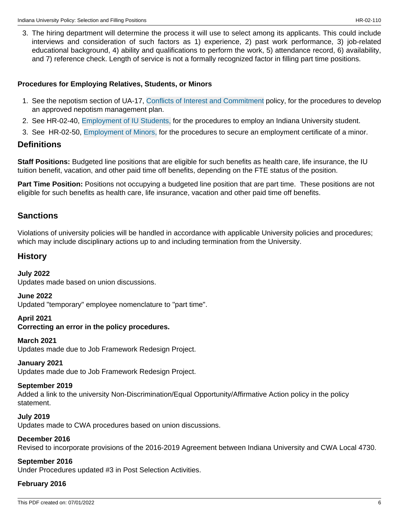3. The hiring department will determine the process it will use to select among its applicants. This could include interviews and consideration of such factors as 1) experience, 2) past work performance, 3) job-related educational background, 4) ability and qualifications to perform the work, 5) attendance record, 6) availability, and 7) reference check. Length of service is not a formally recognized factor in filling part time positions.

#### **Procedures for Employing Relatives, Students, or Minors**

- 1. See the nepotism section of UA-17, [Conflicts of Interest and Commitment](/policies/ua-17-conflicts-of-interest-commitment/archived-01012020-07162021.html) policy, for the procedures to develop an approved nepotism management plan.
- 2. See HR-02-40, [Employment of IU Students,](https://policies.iu.edu/policies/hr-02-40-employment-students/index.html) for the procedures to employ an Indiana University student.
- 3. See HR-02-50, [Employment of Minors,](https://policies.iu.edu/policies/hr-02-50-employment-minors/index.html) for the procedures to secure an employment certificate of a minor.

### **Definitions**

**Staff Positions:** Budgeted line positions that are eligible for such benefits as health care, life insurance, the IU tuition benefit, vacation, and other paid time off benefits, depending on the FTE status of the position.

**Part Time Position:** Positions not occupying a budgeted line position that are part time. These positions are not eligible for such benefits as health care, life insurance, vacation and other paid time off benefits.

### **Sanctions**

Violations of university policies will be handled in accordance with applicable University policies and procedures; which may include disciplinary actions up to and including termination from the University.

### **History**

### **July 2022** Updates made based on union discussions.

#### **June 2022**

Updated "temporary" employee nomenclature to "part time".

#### **April 2021**

### **Correcting an error in the policy procedures.**

#### **March 2021**

Updates made due to Job Framework Redesign Project.

### **January 2021**

Updates made due to Job Framework Redesign Project.

### **September 2019**

Added a link to the university Non-Discrimination/Equal Opportunity/Affirmative Action policy in the policy statement.

### **July 2019**

Updates made to CWA procedures based on union discussions.

### **December 2016**

Revised to incorporate provisions of the 2016-2019 Agreement between Indiana University and CWA Local 4730.

### **September 2016**

Under Procedures updated #3 in Post Selection Activities.

### **February 2016**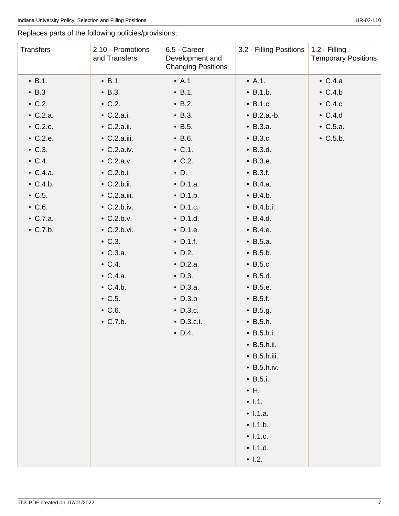Replaces parts of the following policies/provisions:

| Transfers        | 2.10 - Promotions<br>and Transfers | 6.5 - Career<br>Development and<br><b>Changing Positions</b> | 3.2 - Filling Positions | 1.2 - Filling<br><b>Temporary Positions</b> |
|------------------|------------------------------------|--------------------------------------------------------------|-------------------------|---------------------------------------------|
| $\bullet$ B.1.   | $\cdot$ B.1.                       | $\bullet$ A.1                                                | $\bullet$ A.1.          | $\bullet$ C.4.a                             |
| $\bullet$ B.3    | $\cdot$ B.3.                       | $\bullet$ B.1.                                               | $\bullet$ B.1.b.        | $\bullet$ C.4.b                             |
| $\bullet$ C.2.   | $\bullet$ C.2.                     | $\bullet$ B.2.                                               | $\bullet$ B.1.c.        | $\bullet$ C.4.c                             |
| $\bullet$ C.2.a. | $\bullet$ C.2.a.i.                 | $\bullet$ B.3.                                               | $\bullet$ B.2.a.-b.     | $\bullet$ C.4.d                             |
| $\bullet$ C.2.c. | $\bullet$ C.2.a.ii.                | $\bullet$ B.5.                                               | • B.3.a.                | $\bullet$ C.5.a.                            |
| $\bullet$ C.2.e. | $\bullet$ C.2.a.iii.               | $\bullet$ B.6.                                               | $\bullet$ B.3.c.        | $\bullet$ C.5.b.                            |
| $\bullet$ C.3.   | $\bullet$ C.2.a.iv.                | $\bullet$ C.1.                                               | $\bullet$ B.3.d.        |                                             |
| $\bullet$ C.4.   | $\bullet$ C.2.a.v.                 | $\bullet$ C.2.                                               | $\bullet$ B.3.e.        |                                             |
| $\bullet$ C.4.a. | $\bullet$ C.2.b.i.                 | $\bullet$ D.                                                 | $\bullet$ B.3.f.        |                                             |
| $\bullet$ C.4.b. | $\bullet$ C.2.b.ii.                | $\bullet$ D.1.a.                                             | • B.4.a.                |                                             |
| $\bullet$ C.5.   | $\bullet$ C.2.a.iii.               | $\bullet$ D.1.b.                                             | $\bullet$ B.4.b.        |                                             |
| $\bullet$ C.6.   | $\bullet$ C.2.b.iv.                | $\bullet$ D.1.c.                                             | $\bullet$ B.4.b.i.      |                                             |
| $\bullet$ C.7.a. | $\bullet$ C.2.b.v.                 | $\bullet$ D.1.d.                                             | $\bullet$ B.4.d.        |                                             |
| $\bullet$ C.7.b. | $\bullet$ C.2.b.vi.                | $\bullet$ D.1.e.                                             | $\bullet$ B.4.e.        |                                             |
|                  | $\bullet$ C.3.                     | $\bullet$ D.1.f.                                             | • B.5.a.                |                                             |
|                  | $\bullet$ C.3.a.                   | $\bullet$ D.2.                                               | $\bullet$ B.5.b.        |                                             |
|                  | $\bullet$ C.4.                     | $\bullet$ D.2.a.                                             | $\bullet$ B.5.c.        |                                             |
|                  | $\bullet$ C.4.a.                   | $\bullet$ D.3.                                               | $\bullet$ B.5.d.        |                                             |
|                  | $\bullet$ C.4.b.                   | $\bullet$ D.3.a.                                             | $\bullet$ B.5.e.        |                                             |
|                  | $\bullet$ C.5.                     | $\bullet$ D.3.b                                              | $\bullet$ B.5.f.        |                                             |
|                  | $\bullet$ C.6.                     | $\bullet$ D.3.c.                                             | $\bullet$ B.5.g.        |                                             |
|                  | $\bullet$ C.7.b.                   | $\bullet$ D.3.c.i.                                           | $\bullet$ B.5.h.        |                                             |
|                  |                                    | $\bullet$ D.4.                                               | $\bullet$ B.5.h.i.      |                                             |
|                  |                                    |                                                              | $\bullet$ B.5.h.ii.     |                                             |
|                  |                                    |                                                              | $\bullet$ B.5.h.iii.    |                                             |
|                  |                                    |                                                              | $\bullet$ B.5.h.iv.     |                                             |
|                  |                                    |                                                              | $\bullet$ B.5.i.        |                                             |
|                  |                                    |                                                              | $\bullet$ H.            |                                             |
|                  |                                    |                                                              | $\bullet$ 1.1.          |                                             |
|                  |                                    |                                                              | • 1.1.a.                |                                             |
|                  |                                    |                                                              | $\bullet$ 1.1.b.        |                                             |
|                  |                                    |                                                              | $\bullet$ 1.1.c.        |                                             |
|                  |                                    |                                                              | $\bullet$ 1.1.d.        |                                             |
|                  |                                    |                                                              | $\cdot$ 1.2.            |                                             |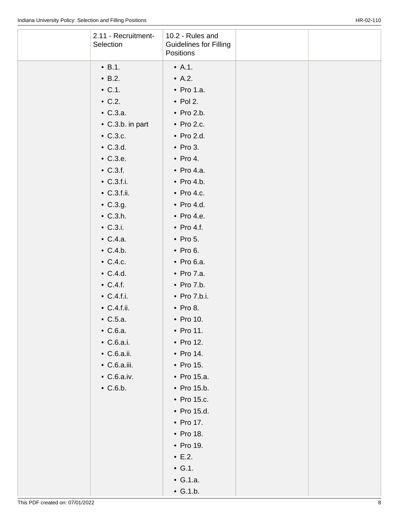| 2.11 - Recruitment-<br>Selection | 10.2 - Rules and<br><b>Guidelines for Filling</b><br>Positions |  |
|----------------------------------|----------------------------------------------------------------|--|
| $\bullet$ B.1.                   | $\bullet$ A.1.                                                 |  |
| $\bullet$ B.2.                   | $\bullet$ A.2.                                                 |  |
| $\bullet$ C.1.                   | $\bullet$ Pro 1.a.                                             |  |
| $\bullet$ C.2.                   | $\bullet$ Pol 2.                                               |  |
| $\bullet$ C.3.a.                 | $\bullet$ Pro 2.b.                                             |  |
| $\bullet$ C.3.b. in part         | $\bullet$ Pro 2.c.                                             |  |
| $\bullet$ C.3.c.                 | $\bullet$ Pro 2.d.                                             |  |
| $\bullet$ C.3.d.                 | $\bullet$ Pro 3.                                               |  |
| $\bullet$ C.3.e.                 | $\bullet$ Pro 4.                                               |  |
| $\bullet$ C.3.f.                 | $\bullet$ Pro 4.a.                                             |  |
| $\bullet$ C.3.f.i.               | $\bullet$ Pro 4.b.                                             |  |
| $\bullet$ C.3.f.ii.              | $\bullet$ Pro 4.c.                                             |  |
| $\bullet$ C.3.g.                 | $\bullet$ Pro 4.d.                                             |  |
| $\bullet$ C.3.h.                 | $\bullet$ Pro 4.e.                                             |  |
| $\bullet$ C.3.i.                 | $\bullet$ Pro 4.f.                                             |  |
| $\bullet$ C.4.a.                 | $\bullet$ Pro 5.                                               |  |
| $\bullet$ C.4.b.                 | $\bullet$ Pro 6.                                               |  |
| $\bullet$ C.4.c.                 | $\bullet$ Pro 6.a.                                             |  |
| $\bullet$ C.4.d.                 | $\bullet$ Pro 7.a.                                             |  |
| $\bullet$ C.4.f.                 | $\bullet$ Pro 7.b.                                             |  |
| $\bullet$ C.4.f.i.               | $\bullet$ Pro 7.b.i.                                           |  |
| $\bullet$ C.4.f.ii.              | $\bullet$ Pro 8.                                               |  |
| $\bullet$ C.5.a.                 | • Pro 10.                                                      |  |
| $\bullet$ C.6.a.                 | • Pro 11.                                                      |  |
| $\bullet$ C.6.a.i.               | • Pro 12.                                                      |  |
| $\bullet$ C.6.a.ii.              | • Pro 14.                                                      |  |
| $\bullet$ C.6.a.iii.             | • Pro 15.                                                      |  |
| $\bullet$ C.6.a.iv.              | • Pro 15.a.                                                    |  |
| $\bullet$ C.6.b.                 | • Pro 15.b.                                                    |  |
|                                  | • Pro 15.c.                                                    |  |
|                                  | • Pro 15.d.                                                    |  |
|                                  | • Pro 17.                                                      |  |
|                                  | • Pro 18.                                                      |  |
|                                  | • Pro 19.                                                      |  |
|                                  | $\cdot$ E.2.                                                   |  |
|                                  | $\bullet$ G.1.                                                 |  |
|                                  | $\bullet$ G.1.a.                                               |  |
|                                  | $\bullet$ G.1.b.                                               |  |